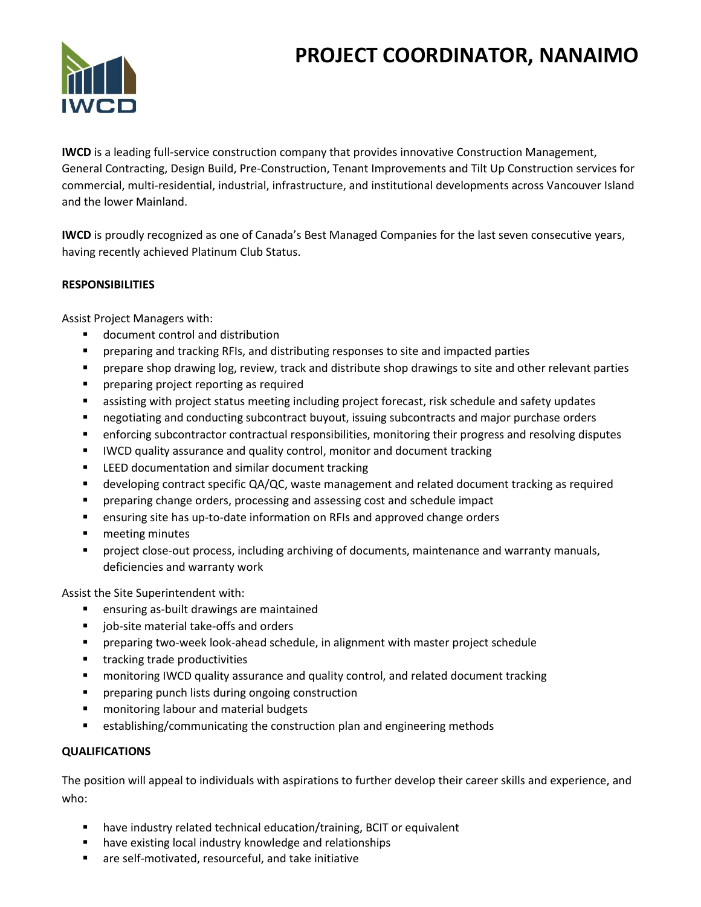# **PROJECT COORDINATOR, NANAIMO**



**IWCD** is a leading full-service construction company that provides innovative Construction Management, General Contracting, Design Build, Pre-Construction, Tenant Improvements and Tilt Up Construction services for commercial, multi-residential, industrial, infrastructure, and institutional developments across Vancouver Island and the lower Mainland.

**IWCD** is proudly recognized as one of Canada's Best Managed Companies for the last seven consecutive years, having recently achieved Platinum Club Status.

### **RESPONSIBILITIES**

Assist Project Managers with:

- document control and distribution
- preparing and tracking RFIs, and distributing responses to site and impacted parties
- **·** prepare shop drawing log, review, track and distribute shop drawings to site and other relevant parties
- preparing project reporting as required
- assisting with project status meeting including project forecast, risk schedule and safety updates
- negotiating and conducting subcontract buyout, issuing subcontracts and major purchase orders
- enforcing subcontractor contractual responsibilities, monitoring their progress and resolving disputes
- IWCD quality assurance and quality control, monitor and document tracking
- LEED documentation and similar document tracking
- developing contract specific QA/QC, waste management and related document tracking as required
- **•** preparing change orders, processing and assessing cost and schedule impact
- **E** ensuring site has up-to-date information on RFIs and approved change orders
- meeting minutes
- project close-out process, including archiving of documents, maintenance and warranty manuals, deficiencies and warranty work

Assist the Site Superintendent with:

- ensuring as-built drawings are maintained
- job-site material take-offs and orders
- **•** preparing two-week look-ahead schedule, in alignment with master project schedule
- tracking trade productivities
- monitoring IWCD quality assurance and quality control, and related document tracking
- **•** preparing punch lists during ongoing construction
- monitoring labour and material budgets
- establishing/communicating the construction plan and engineering methods

#### **QUALIFICATIONS**

The position will appeal to individuals with aspirations to further develop their career skills and experience, and who:

- have industry related technical education/training, BCIT or equivalent
- have existing local industry knowledge and relationships
- are self-motivated, resourceful, and take initiative